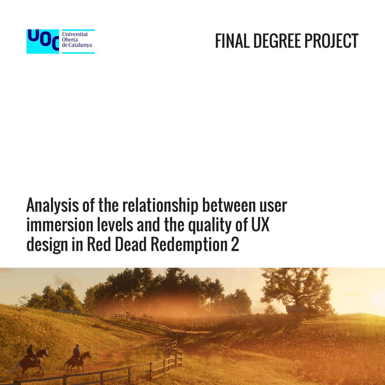

#### FINAL DEGREE PROJECT

#### Analysis of the relationship between user immersion levels and the quality of UX design in Red Dead Redemption 2

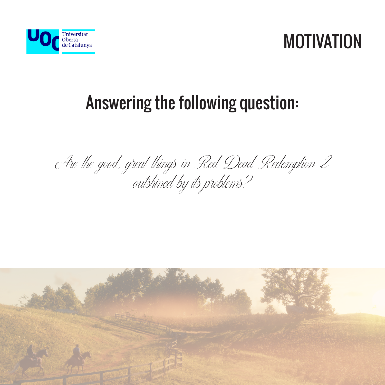



### Answering the following question:

Are the good, great things in Red Dead Redemption Z outshined by its problems?

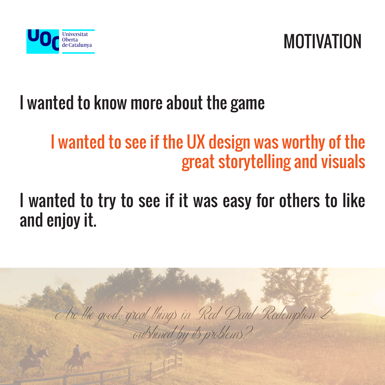



## I wanted to know more about the game

#### I wanted to see if the UX design was worthy of the great storytelling and visuals

#### I wanted to try to see if it was easy for others to like and enjoy it.

Are the good, great things in Red Dead Redemption 2

outshined by its problems?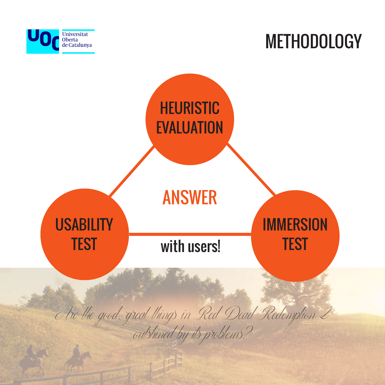

### **METHODOLOGY**

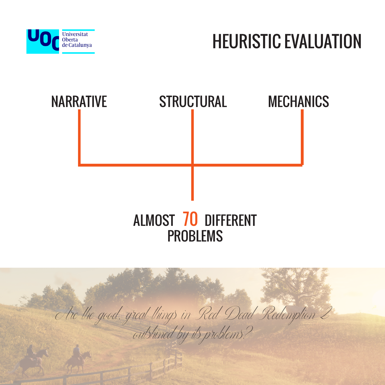

# HEURISTIC EVALUATION



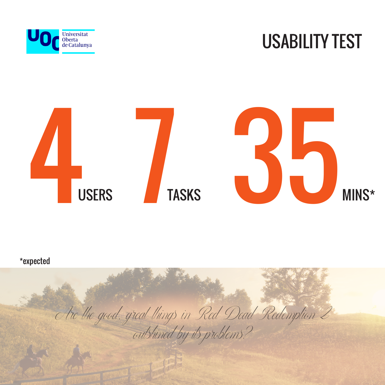

#### USABILITY TEST



Are the good, great things in Red Dead Redemption 2 outshined by its problems? \*expected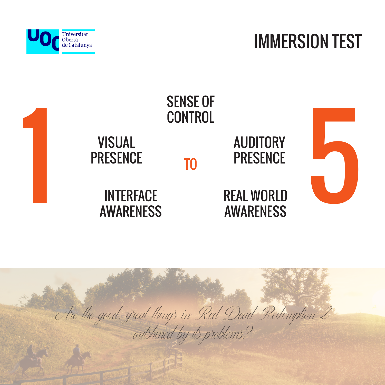

#### IMMERSION TEST



Are the good, great things in Red Dead Redemption 2 outshined by its problems?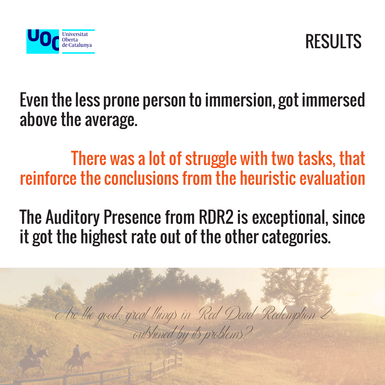



Even the less prone person to immersion, got immersed above the average.

There was a lot of struggle with two tasks, that reinforce the conclusions from the heuristic evaluation

The Auditory Presence from RDR2 is exceptional, since it got the highest rate out of the other categories.

Are the good, great things in Red Dead Redemption 2 outshined by its problems?